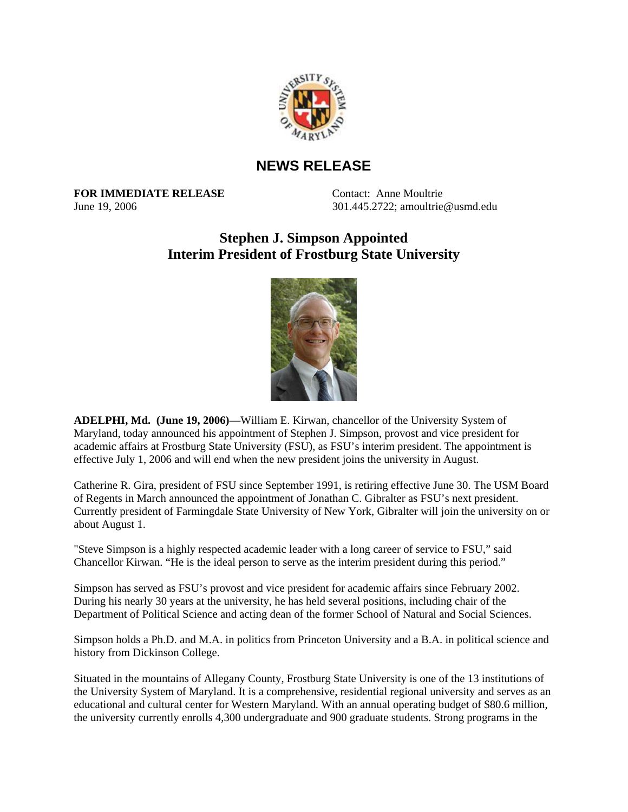

## **NEWS RELEASE**

**FOR IMMEDIATE RELEASE** Contact: Anne Moultrie

June 19, 2006 301.445.2722; amoultrie@usmd.edu

## **Stephen J. Simpson Appointed Interim President of Frostburg State University**



**ADELPHI, Md. (June 19, 2006)**—William E. Kirwan, chancellor of the University System of Maryland, today announced his appointment of Stephen J. Simpson, provost and vice president for academic affairs at Frostburg State University (FSU), as FSU's interim president. The appointment is effective July 1, 2006 and will end when the new president joins the university in August.

Catherine R. Gira, president of FSU since September 1991, is retiring effective June 30. The USM Board of Regents in March announced the appointment of Jonathan C. Gibralter as FSU's next president. Currently president of Farmingdale State University of New York, Gibralter will join the university on or about August 1.

"Steve Simpson is a highly respected academic leader with a long career of service to FSU," said Chancellor Kirwan. "He is the ideal person to serve as the interim president during this period."

Simpson has served as FSU's provost and vice president for academic affairs since February 2002. During his nearly 30 years at the university, he has held several positions, including chair of the Department of Political Science and acting dean of the former School of Natural and Social Sciences.

Simpson holds a Ph.D. and M.A. in politics from Princeton University and a B.A. in political science and history from Dickinson College.

Situated in the mountains of Allegany County, Frostburg State University is one of the 13 institutions of the University System of Maryland. It is a comprehensive, residential regional university and serves as an educational and cultural center for Western Maryland. With an annual operating budget of \$80.6 million, the university currently enrolls 4,300 undergraduate and 900 graduate students. Strong programs in the